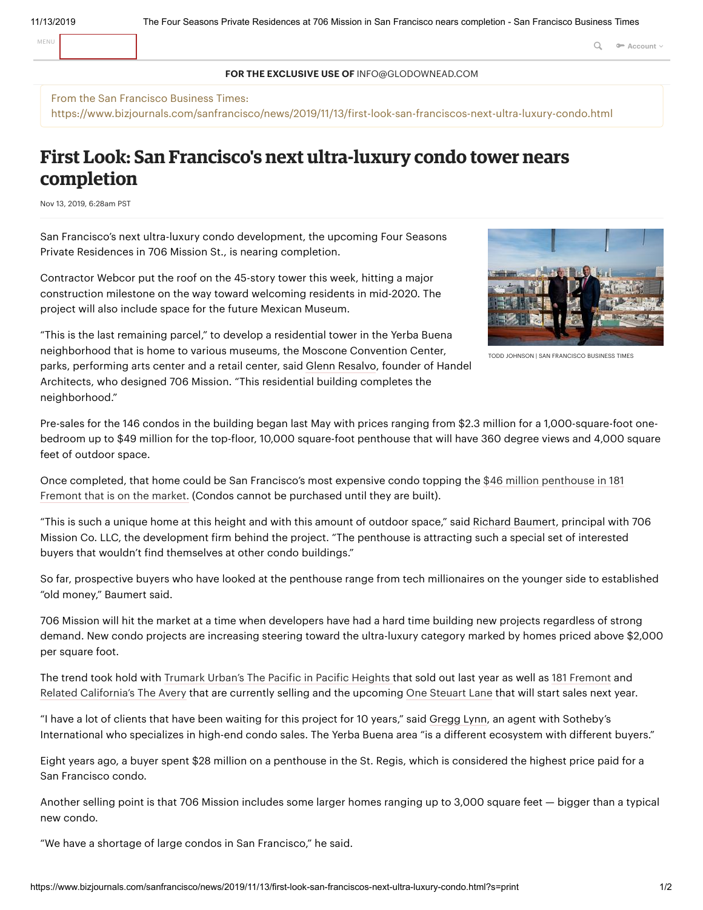MENU **Q a Account Q a Account Q a Account Q** 

## **FOR THE EXCLUSIVE USE OF** INFO@GLODOWNEAD.COM

From the San Francisco Business Times: https://www.bizjournals.com/sanfrancisco/news/2019/11/13/first-look-san-franciscos-next-ultra-luxury-condo.html

## **First Look: San Francisco's next ultra-luxury condo tower nears completion**

Nov 13, 2019, 6:28am PST

San Francisco's next ultra-luxury condo development, the upcoming Four Seasons Private Residences in 706 Mission St., is nearing completion.

Contractor Webcor put the roof on the 45-story tower this week, hitting a major construction milestone on the way toward welcoming residents in mid-2020. The project will also include space for the future Mexican Museum.



TODD JOHNSON |SAN FRANCISCO BUSINESS TIMES

"This is the last remaining parcel," to develop a residential tower in the Yerba Buena neighborhood that is home to various museums, the Moscone Convention Center, parks, performing arts center and a retail center, said Glenn [Resalvo,](https://www.bizjournals.com/sanfrancisco/search/results?q=Glenn%20Resalvo) founder of Handel

Architects, who designed 706 Mission. "This residential building completes the neighborhood."

Pre-sales for the 146 condos in the building began last May with prices ranging from \$2.3 million for a 1,000-square-foot onebedroom up to \$49 million for the top-floor, 10,000 square-foot penthouse that will have 360 degree views and 4,000 square feet of outdoor space.

Once [completed,](https://www.bizjournals.com/sanfrancisco/news/2019/10/16/181-fremont-debuts-furnished-46-million-grand.html) that home could be San Francisco's most expensive condo topping the \$46 million penthouse in 181 Fremont that is on the market. (Condos cannot be purchased until they are built).

"This is such a unique home at this height and with this amount of outdoor space," said Richard [Baumert](https://www.bizjournals.com/sanfrancisco/search/results?q=Richard%20Baumert), principal with 706 Mission Co. LLC, the development firm behind the project. "The penthouse is attracting such a special set of interested buyers that wouldn't find themselves at other condo buildings."

So far, prospective buyers who have looked at the penthouse range from tech millionaires on the younger side to established "old money," Baumert said.

706 Mission will hit the market at a time when developers have had a hard time building new projects regardless of strong demand. New condo projects are increasing steering toward the ultra-luxury category marked by homes priced above \$2,000 per square foot.

The trend took hold with [Trumark](https://www.bizjournals.com/sanfrancisco/news/2018/07/26/trumark-urban-the-pacific-condos-ultra-luxury.html) Urban's The Pacific in Pacific Heights that sold out last year as well as 181 [Fremont](https://www.bizjournals.com/sanfrancisco/news/2018/08/08/181-fremont-jay-paul-co-condo-sales-penthouse.html) and Related [California's](https://www.bizjournals.com/sanfrancisco/news/2019/06/14/avery-related-california-transbay-luxury-tower.html) The Avery that are currently selling and the upcoming One [Steuart](https://www.bizjournals.com/sanfrancisco/news/2019/11/07/sneak-peek-into-one-steuart-lane-downtown-san.html) Lane that will start sales next year.

"I have a lot of clients that have been waiting for this project for 10 years," said [Gregg](https://www.bizjournals.com/sanfrancisco/search/results?q=Gregg%20Lynn) Lynn, an agent with Sotheby's International who specializes in high-end condo sales. The Yerba Buena area "is a different ecosystem with different buyers."

Eight years ago, a buyer spent \$28 million on a penthouse in the St. Regis, which is considered the highest price paid for a San Francisco condo.

Another selling point is that 706 Mission includes some larger homes ranging up to 3,000 square feet — bigger than a typical new condo.

"We have a shortage of large condos in San Francisco," he said.